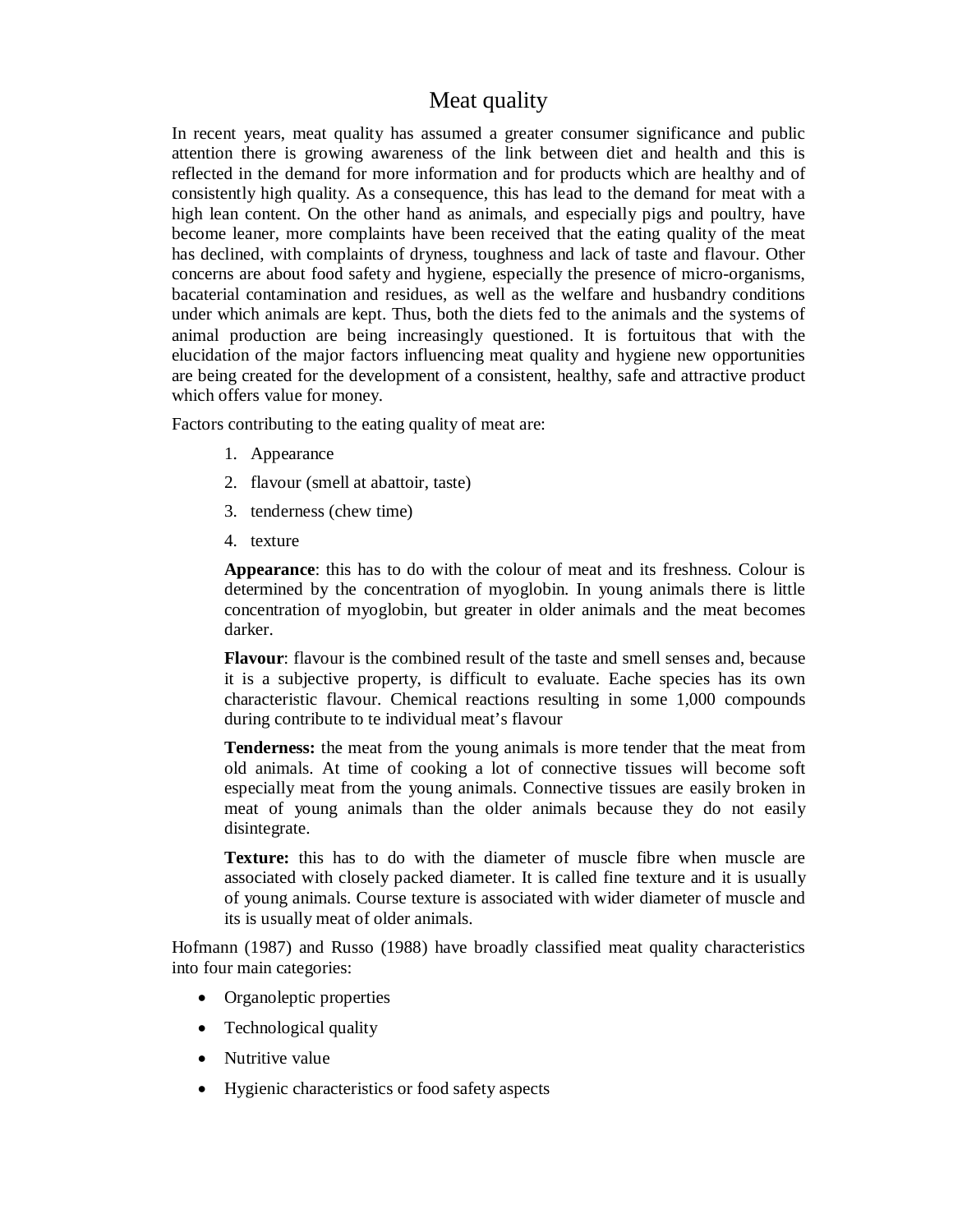# Meat quality

In recent years, meat quality has assumed a greater consumer significance and public attention there is growing awareness of the link between diet and health and this is reflected in the demand for more information and for products which are healthy and of consistently high quality. As a consequence, this has lead to the demand for meat with a high lean content. On the other hand as animals, and especially pigs and poultry, have become leaner, more complaints have been received that the eating quality of the meat has declined, with complaints of dryness, toughness and lack of taste and flavour. Other concerns are about food safety and hygiene, especially the presence of micro-organisms, bacaterial contamination and residues, as well as the welfare and husbandry conditions under which animals are kept. Thus, both the diets fed to the animals and the systems of animal production are being increasingly questioned. It is fortuitous that with the elucidation of the major factors influencing meat quality and hygiene new opportunities are being created for the development of a consistent, healthy, safe and attractive product which offers value for money.

Factors contributing to the eating quality of meat are:

- 1. Appearance
- 2. flavour (smell at abattoir, taste)
- 3. tenderness (chew time)
- 4. texture

**Appearance**: this has to do with the colour of meat and its freshness. Colour is determined by the concentration of myoglobin. In young animals there is little concentration of myoglobin, but greater in older animals and the meat becomes darker.

**Flavour**: flavour is the combined result of the taste and smell senses and, because it is a subjective property, is difficult to evaluate. Eache species has its own characteristic flavour. Chemical reactions resulting in some 1,000 compounds during contribute to te individual meat's flavour

**Tenderness:** the meat from the young animals is more tender that the meat from old animals. At time of cooking a lot of connective tissues will become soft especially meat from the young animals. Connective tissues are easily broken in meat of young animals than the older animals because they do not easily disintegrate.

**Texture:** this has to do with the diameter of muscle fibre when muscle are associated with closely packed diameter. It is called fine texture and it is usually of young animals. Course texture is associated with wider diameter of muscle and its is usually meat of older animals.

Hofmann (1987) and Russo (1988) have broadly classified meat quality characteristics into four main categories:

- Organoleptic properties
- Technological quality
- Nutritive value
- Hygienic characteristics or food safety aspects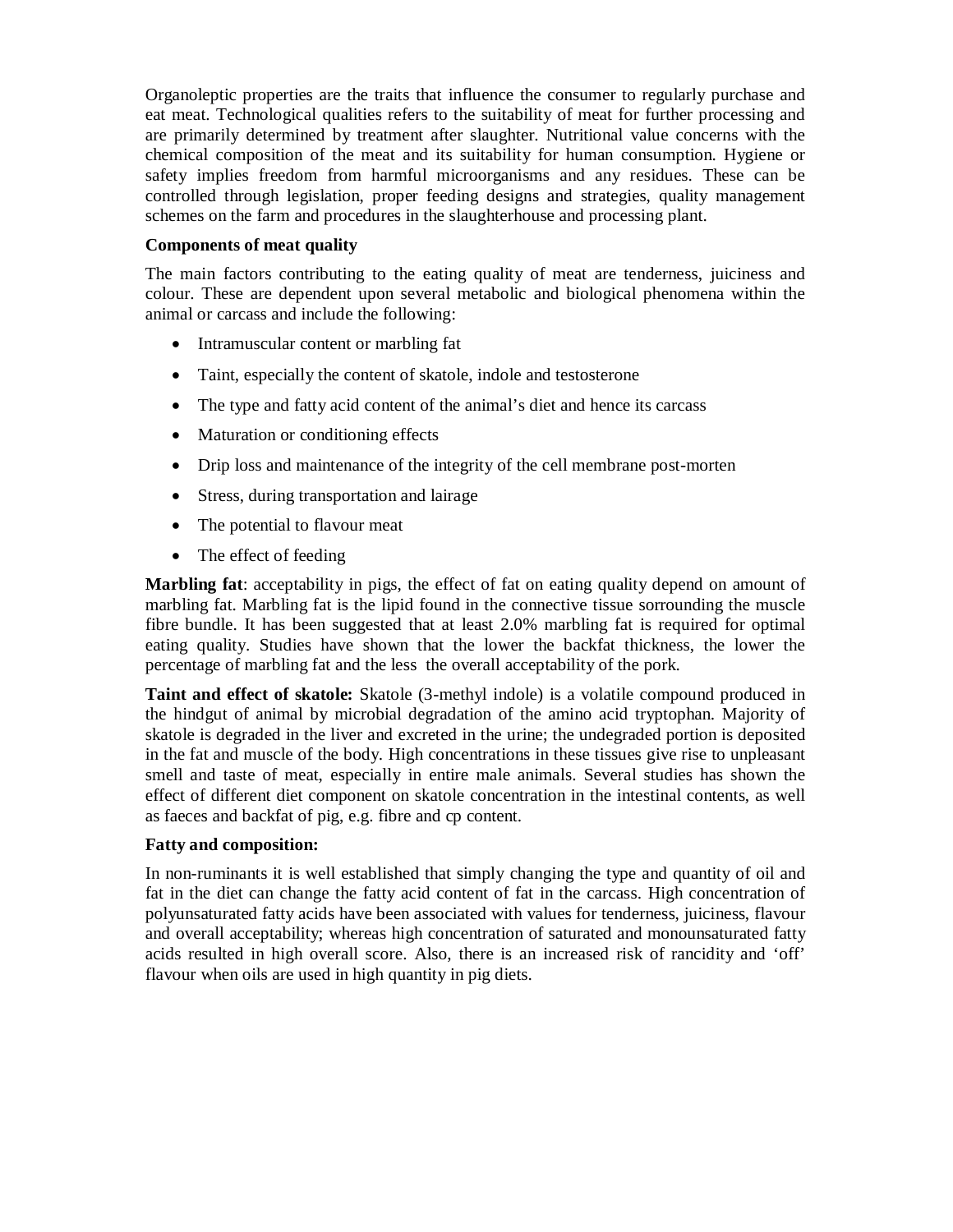Organoleptic properties are the traits that influence the consumer to regularly purchase and eat meat. Technological qualities refers to the suitability of meat for further processing and are primarily determined by treatment after slaughter. Nutritional value concerns with the chemical composition of the meat and its suitability for human consumption. Hygiene or safety implies freedom from harmful microorganisms and any residues. These can be controlled through legislation, proper feeding designs and strategies, quality management schemes on the farm and procedures in the slaughterhouse and processing plant.

#### **Components of meat quality**

The main factors contributing to the eating quality of meat are tenderness, juiciness and colour. These are dependent upon several metabolic and biological phenomena within the animal or carcass and include the following:

- Intramuscular content or marbling fat
- Taint, especially the content of skatole, indole and testosterone
- The type and fatty acid content of the animal's diet and hence its carcass
- Maturation or conditioning effects
- Drip loss and maintenance of the integrity of the cell membrane post-morten
- Stress, during transportation and lairage
- The potential to flavour meat
- The effect of feeding

**Marbling fat**: acceptability in pigs, the effect of fat on eating quality depend on amount of marbling fat. Marbling fat is the lipid found in the connective tissue sorrounding the muscle fibre bundle. It has been suggested that at least 2.0% marbling fat is required for optimal eating quality. Studies have shown that the lower the backfat thickness, the lower the percentage of marbling fat and the less the overall acceptability of the pork.

**Taint and effect of skatole:** Skatole (3-methyl indole) is a volatile compound produced in the hindgut of animal by microbial degradation of the amino acid tryptophan. Majority of skatole is degraded in the liver and excreted in the urine; the undegraded portion is deposited in the fat and muscle of the body. High concentrations in these tissues give rise to unpleasant smell and taste of meat, especially in entire male animals. Several studies has shown the effect of different diet component on skatole concentration in the intestinal contents, as well as faeces and backfat of pig, e.g. fibre and cp content.

#### **Fatty and composition:**

In non-ruminants it is well established that simply changing the type and quantity of oil and fat in the diet can change the fatty acid content of fat in the carcass. High concentration of polyunsaturated fatty acids have been associated with values for tenderness, juiciness, flavour and overall acceptability; whereas high concentration of saturated and monounsaturated fatty acids resulted in high overall score. Also, there is an increased risk of rancidity and 'off' flavour when oils are used in high quantity in pig diets.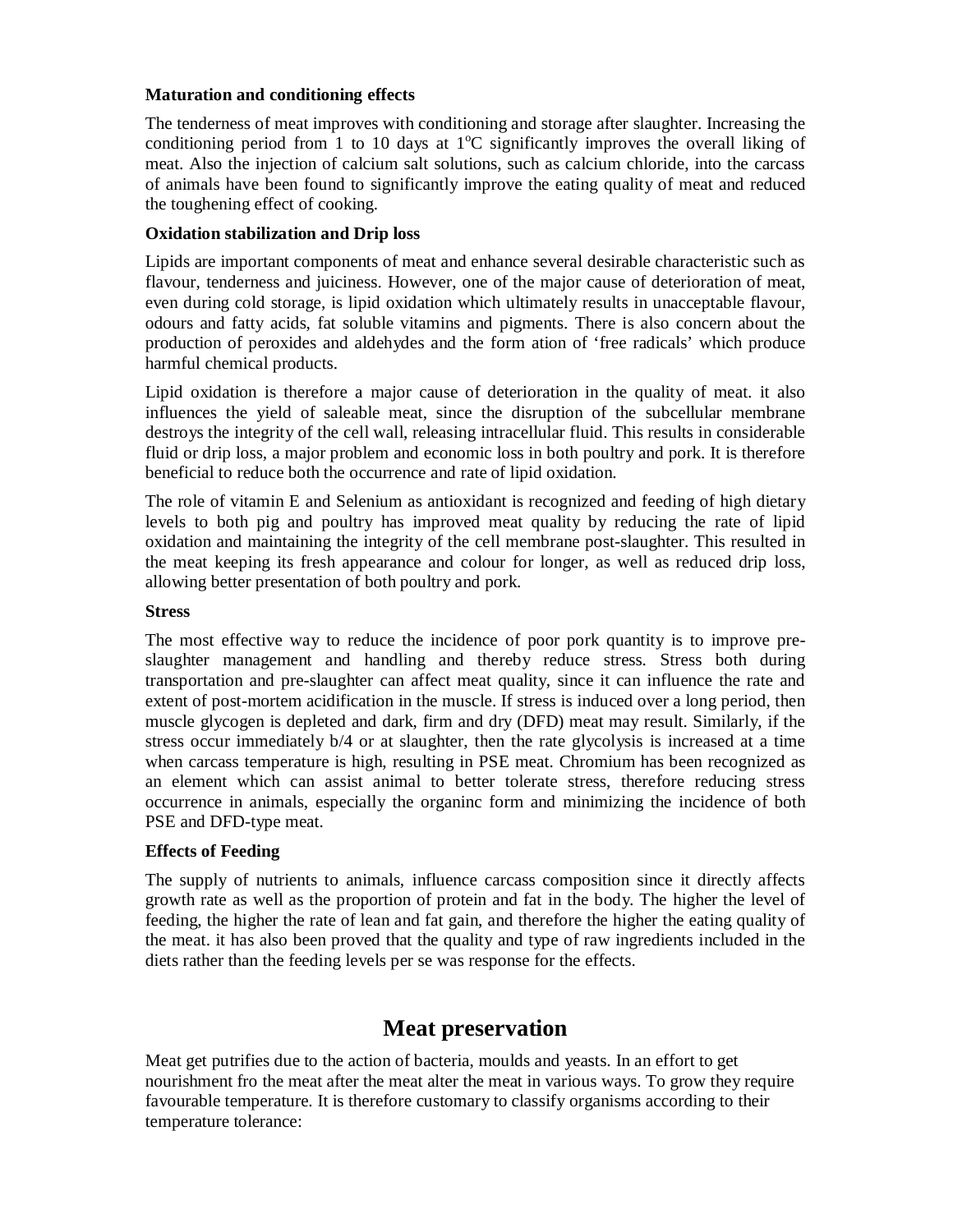#### **Maturation and conditioning effects**

The tenderness of meat improves with conditioning and storage after slaughter. Increasing the conditioning period from 1 to 10 days at  $1^{\circ}$ C significantly improves the overall liking of meat. Also the injection of calcium salt solutions, such as calcium chloride, into the carcass of animals have been found to significantly improve the eating quality of meat and reduced the toughening effect of cooking.

### **Oxidation stabilization and Drip loss**

Lipids are important components of meat and enhance several desirable characteristic such as flavour, tenderness and juiciness. However, one of the major cause of deterioration of meat, even during cold storage, is lipid oxidation which ultimately results in unacceptable flavour, odours and fatty acids, fat soluble vitamins and pigments. There is also concern about the production of peroxides and aldehydes and the form ation of 'free radicals' which produce harmful chemical products.

Lipid oxidation is therefore a major cause of deterioration in the quality of meat. it also influences the yield of saleable meat, since the disruption of the subcellular membrane destroys the integrity of the cell wall, releasing intracellular fluid. This results in considerable fluid or drip loss, a major problem and economic loss in both poultry and pork. It is therefore beneficial to reduce both the occurrence and rate of lipid oxidation.

The role of vitamin E and Selenium as antioxidant is recognized and feeding of high dietary levels to both pig and poultry has improved meat quality by reducing the rate of lipid oxidation and maintaining the integrity of the cell membrane post-slaughter. This resulted in the meat keeping its fresh appearance and colour for longer, as well as reduced drip loss, allowing better presentation of both poultry and pork.

#### **Stress**

The most effective way to reduce the incidence of poor pork quantity is to improve preslaughter management and handling and thereby reduce stress. Stress both during transportation and pre-slaughter can affect meat quality, since it can influence the rate and extent of post-mortem acidification in the muscle. If stress is induced over a long period, then muscle glycogen is depleted and dark, firm and dry (DFD) meat may result. Similarly, if the stress occur immediately b/4 or at slaughter, then the rate glycolysis is increased at a time when carcass temperature is high, resulting in PSE meat. Chromium has been recognized as an element which can assist animal to better tolerate stress, therefore reducing stress occurrence in animals, especially the organinc form and minimizing the incidence of both PSE and DFD-type meat.

#### **Effects of Feeding**

The supply of nutrients to animals, influence carcass composition since it directly affects growth rate as well as the proportion of protein and fat in the body. The higher the level of feeding, the higher the rate of lean and fat gain, and therefore the higher the eating quality of the meat. it has also been proved that the quality and type of raw ingredients included in the diets rather than the feeding levels per se was response for the effects.

# **Meat preservation**

Meat get putrifies due to the action of bacteria, moulds and yeasts. In an effort to get nourishment fro the meat after the meat alter the meat in various ways. To grow they require favourable temperature. It is therefore customary to classify organisms according to their temperature tolerance: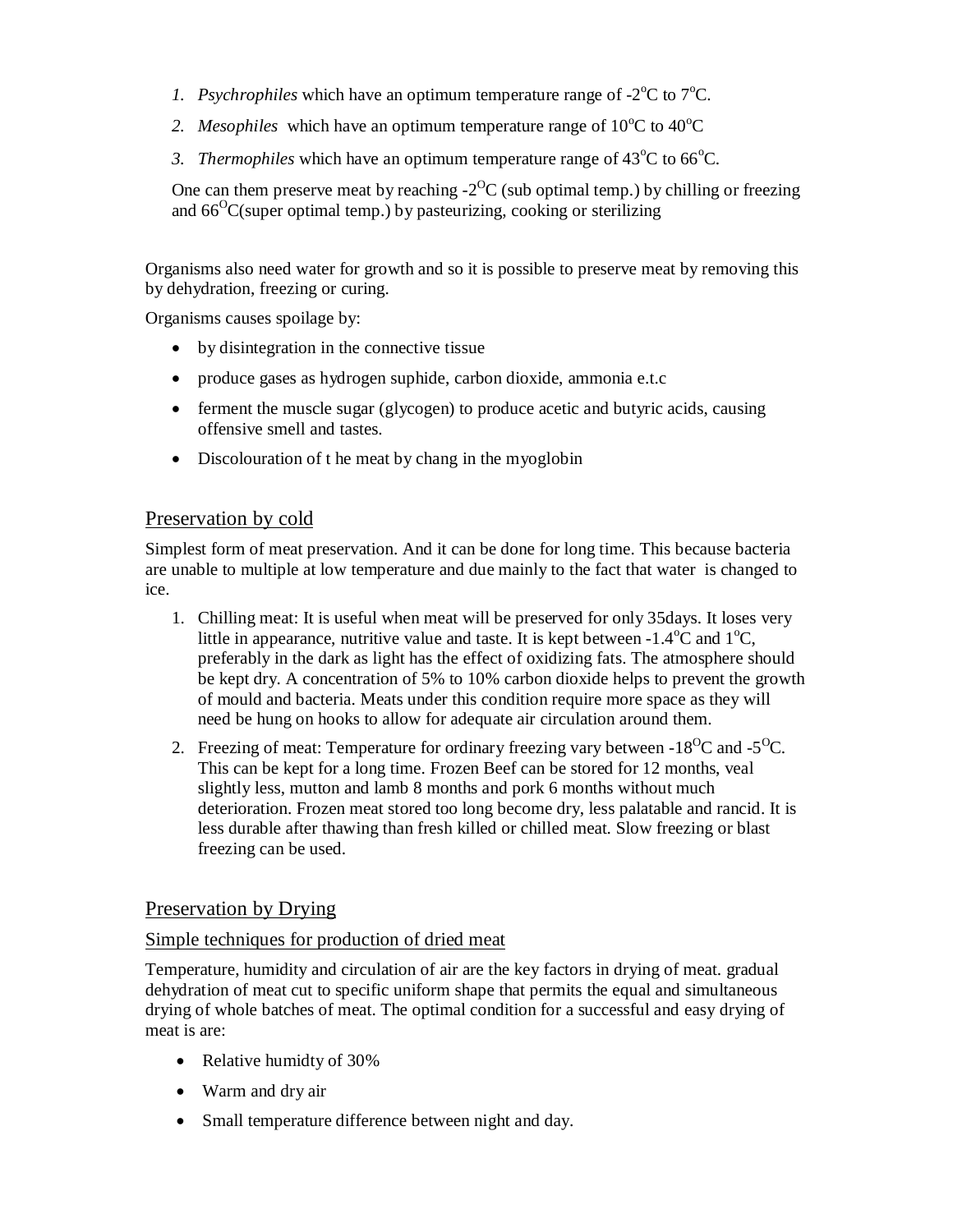- 1. Psychrophiles which have an optimum temperature range of  $-2^{\circ}\text{C}$  to  $7^{\circ}\text{C}$ .
- 2. *Mesophiles* which have an optimum temperature range of  $10^{\circ}$ C to  $40^{\circ}$ C
- *3. Thermophiles* which have an optimum temperature range of  $43^{\circ}$ C to  $66^{\circ}$ C.

One can them preserve meat by reaching  $-2$ <sup>O</sup>C (sub optimal temp.) by chilling or freezing and  $66^{\circ}$ C(super optimal temp.) by pasteurizing, cooking or sterilizing

Organisms also need water for growth and so it is possible to preserve meat by removing this by dehydration, freezing or curing.

Organisms causes spoilage by:

- by disintegration in the connective tissue
- produce gases as hydrogen suphide, carbon dioxide, ammonia e.t.c
- ferment the muscle sugar (glycogen) to produce acetic and butyric acids, causing offensive smell and tastes.
- Discolouration of the meat by chang in the myoglobin

# Preservation by cold

Simplest form of meat preservation. And it can be done for long time. This because bacteria are unable to multiple at low temperature and due mainly to the fact that water is changed to ice.

- 1. Chilling meat: It is useful when meat will be preserved for only 35days. It loses very little in appearance, nutritive value and taste. It is kept between  $-1.4^{\circ}C$  and  $1^{\circ}C$ , preferably in the dark as light has the effect of oxidizing fats. The atmosphere should be kept dry. A concentration of 5% to 10% carbon dioxide helps to prevent the growth of mould and bacteria. Meats under this condition require more space as they will need be hung on hooks to allow for adequate air circulation around them.
- 2. Freezing of meat: Temperature for ordinary freezing vary between -18<sup>o</sup>C and -5<sup>o</sup>C. This can be kept for a long time. Frozen Beef can be stored for 12 months, veal slightly less, mutton and lamb 8 months and pork 6 months without much deterioration. Frozen meat stored too long become dry, less palatable and rancid. It is less durable after thawing than fresh killed or chilled meat. Slow freezing or blast freezing can be used.

# Preservation by Drying

# Simple techniques for production of dried meat

Temperature, humidity and circulation of air are the key factors in drying of meat. gradual dehydration of meat cut to specific uniform shape that permits the equal and simultaneous drying of whole batches of meat. The optimal condition for a successful and easy drying of meat is are:

- Relative humidty of 30%
- Warm and dry air
- Small temperature difference between night and day.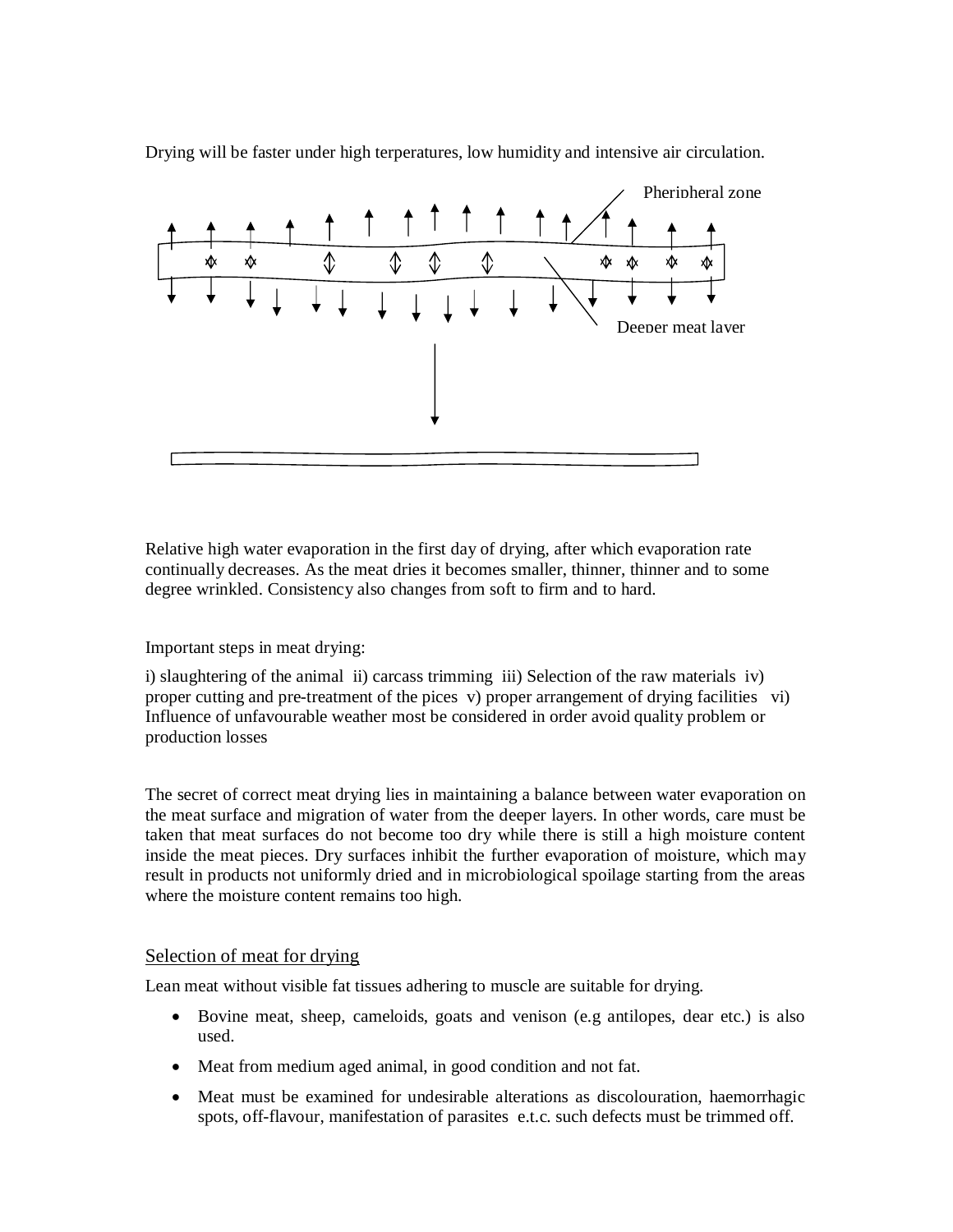

Drying will be faster under high terperatures, low humidity and intensive air circulation.

Relative high water evaporation in the first day of drying, after which evaporation rate continually decreases. As the meat dries it becomes smaller, thinner, thinner and to some degree wrinkled. Consistency also changes from soft to firm and to hard.

#### Important steps in meat drying:

i) slaughtering of the animal ii) carcass trimming iii) Selection of the raw materials iv) proper cutting and pre-treatment of the pices v) proper arrangement of drying facilities vi) Influence of unfavourable weather most be considered in order avoid quality problem or production losses

The secret of correct meat drying lies in maintaining a balance between water evaporation on the meat surface and migration of water from the deeper layers. In other words, care must be taken that meat surfaces do not become too dry while there is still a high moisture content inside the meat pieces. Dry surfaces inhibit the further evaporation of moisture, which may result in products not uniformly dried and in microbiological spoilage starting from the areas where the moisture content remains too high.

#### Selection of meat for drying

Lean meat without visible fat tissues adhering to muscle are suitable for drying.

- Bovine meat, sheep, cameloids, goats and venison (e.g antilopes, dear etc.) is also used.
- Meat from medium aged animal, in good condition and not fat.
- Meat must be examined for undesirable alterations as discolouration, haemorrhagic spots, off-flavour, manifestation of parasites e.t.c. such defects must be trimmed off.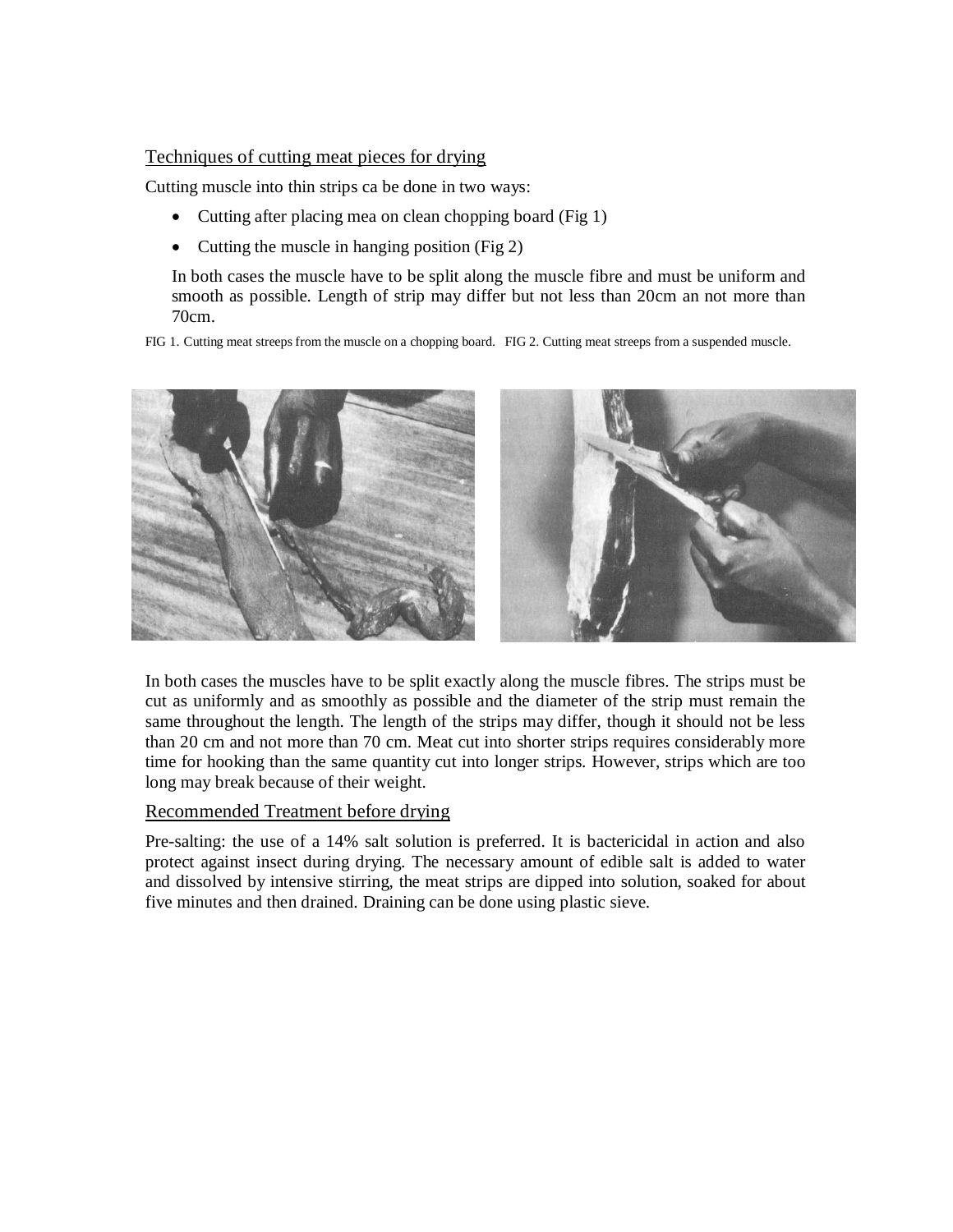### Techniques of cutting meat pieces for drying

Cutting muscle into thin strips ca be done in two ways:

- Cutting after placing mea on clean chopping board (Fig 1)
- Cutting the muscle in hanging position (Fig 2)

In both cases the muscle have to be split along the muscle fibre and must be uniform and smooth as possible. Length of strip may differ but not less than 20cm an not more than 70cm.

FIG 1. Cutting meat streeps from the muscle on a chopping board. FIG 2. Cutting meat streeps from a suspended muscle.



In both cases the muscles have to be split exactly along the muscle fibres. The strips must be cut as uniformly and as smoothly as possible and the diameter of the strip must remain the same throughout the length. The length of the strips may differ, though it should not be less than 20 cm and not more than 70 cm. Meat cut into shorter strips requires considerably more time for hooking than the same quantity cut into longer strips. However, strips which are too long may break because of their weight.

#### Recommended Treatment before drying

Pre-salting: the use of a 14% salt solution is preferred. It is bactericidal in action and also protect against insect during drying. The necessary amount of edible salt is added to water and dissolved by intensive stirring, the meat strips are dipped into solution, soaked for about five minutes and then drained. Draining can be done using plastic sieve.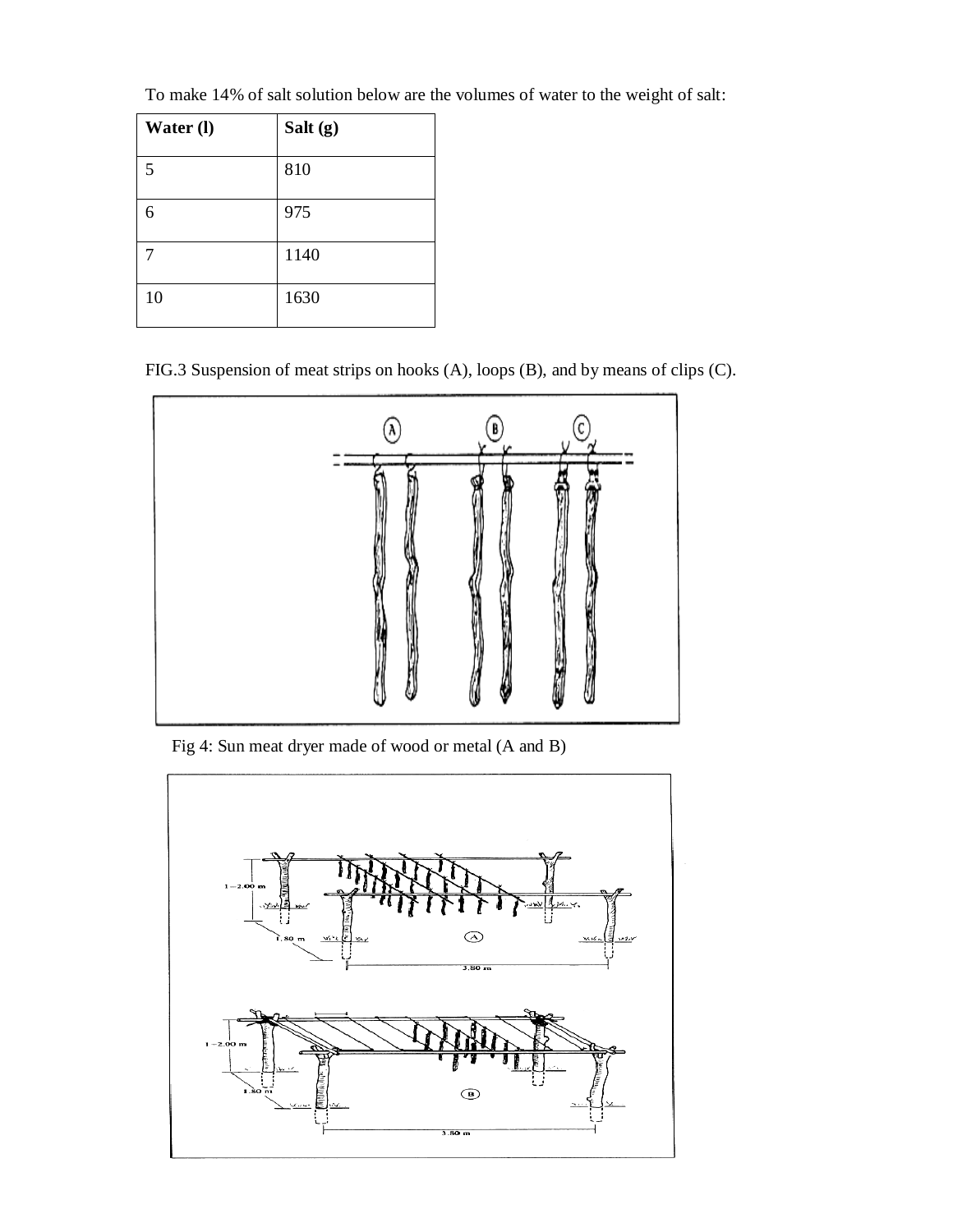| Water (l) | Salt (g) |
|-----------|----------|
| 5         | 810      |
| 6         | 975      |
|           | 1140     |
| 10        | 1630     |

To make 14% of salt solution below are the volumes of water to the weight of salt:

FIG.3 Suspension of meat strips on hooks (A), loops (B), and by means of clips (C).



Fig 4: Sun meat dryer made of wood or metal (A and B)

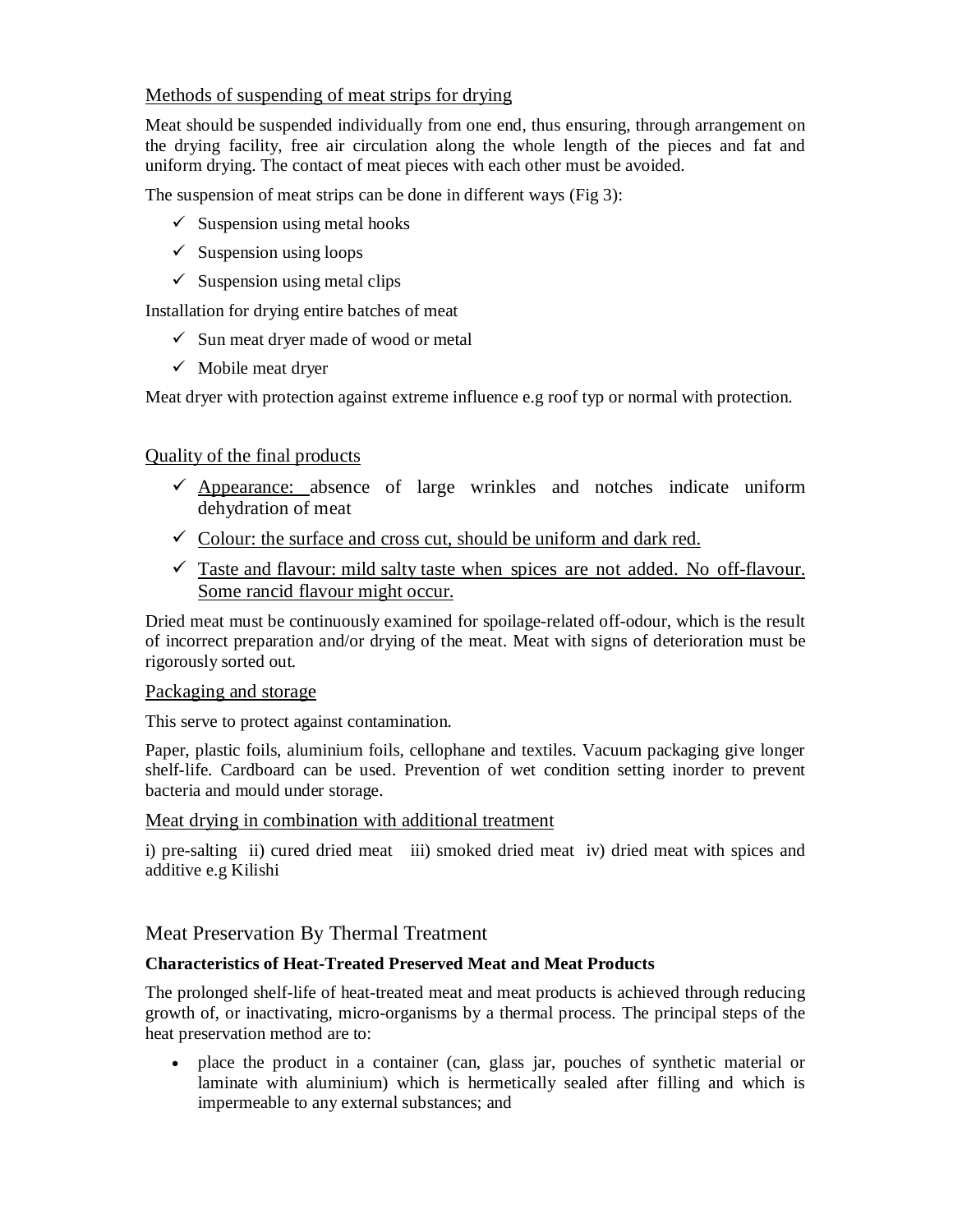# Methods of suspending of meat strips for drying

Meat should be suspended individually from one end, thus ensuring, through arrangement on the drying facility, free air circulation along the whole length of the pieces and fat and uniform drying. The contact of meat pieces with each other must be avoided.

The suspension of meat strips can be done in different ways (Fig 3):

- $\checkmark$  Suspension using metal hooks
- $\checkmark$  Suspension using loops
- $\checkmark$  Suspension using metal clips

Installation for drying entire batches of meat

- $\checkmark$  Sun meat dryer made of wood or metal
- $\checkmark$  Mobile meat dryer

Meat dryer with protection against extreme influence e.g roof typ or normal with protection.

# Quality of the final products

- $\checkmark$  Appearance: absence of large wrinkles and notches indicate uniform dehydration of meat
- $\checkmark$  Colour: the surface and cross cut, should be uniform and dark red.
- $\checkmark$  Taste and flavour: mild salty taste when spices are not added. No off-flavour. Some rancid flavour might occur.

Dried meat must be continuously examined for spoilage-related off-odour, which is the result of incorrect preparation and/or drying of the meat. Meat with signs of deterioration must be rigorously sorted out.

#### Packaging and storage

This serve to protect against contamination.

Paper, plastic foils, aluminium foils, cellophane and textiles. Vacuum packaging give longer shelf-life. Cardboard can be used. Prevention of wet condition setting inorder to prevent bacteria and mould under storage.

#### Meat drying in combination with additional treatment

i) pre-salting ii) cured dried meat iii) smoked dried meat iv) dried meat with spices and additive e.g Kilishi

Meat Preservation By Thermal Treatment

# **Characteristics of Heat-Treated Preserved Meat and Meat Products**

The prolonged shelf-life of heat-treated meat and meat products is achieved through reducing growth of, or inactivating, micro-organisms by a thermal process. The principal steps of the heat preservation method are to:

 place the product in a container (can, glass jar, pouches of synthetic material or laminate with aluminium) which is hermetically sealed after filling and which is impermeable to any external substances; and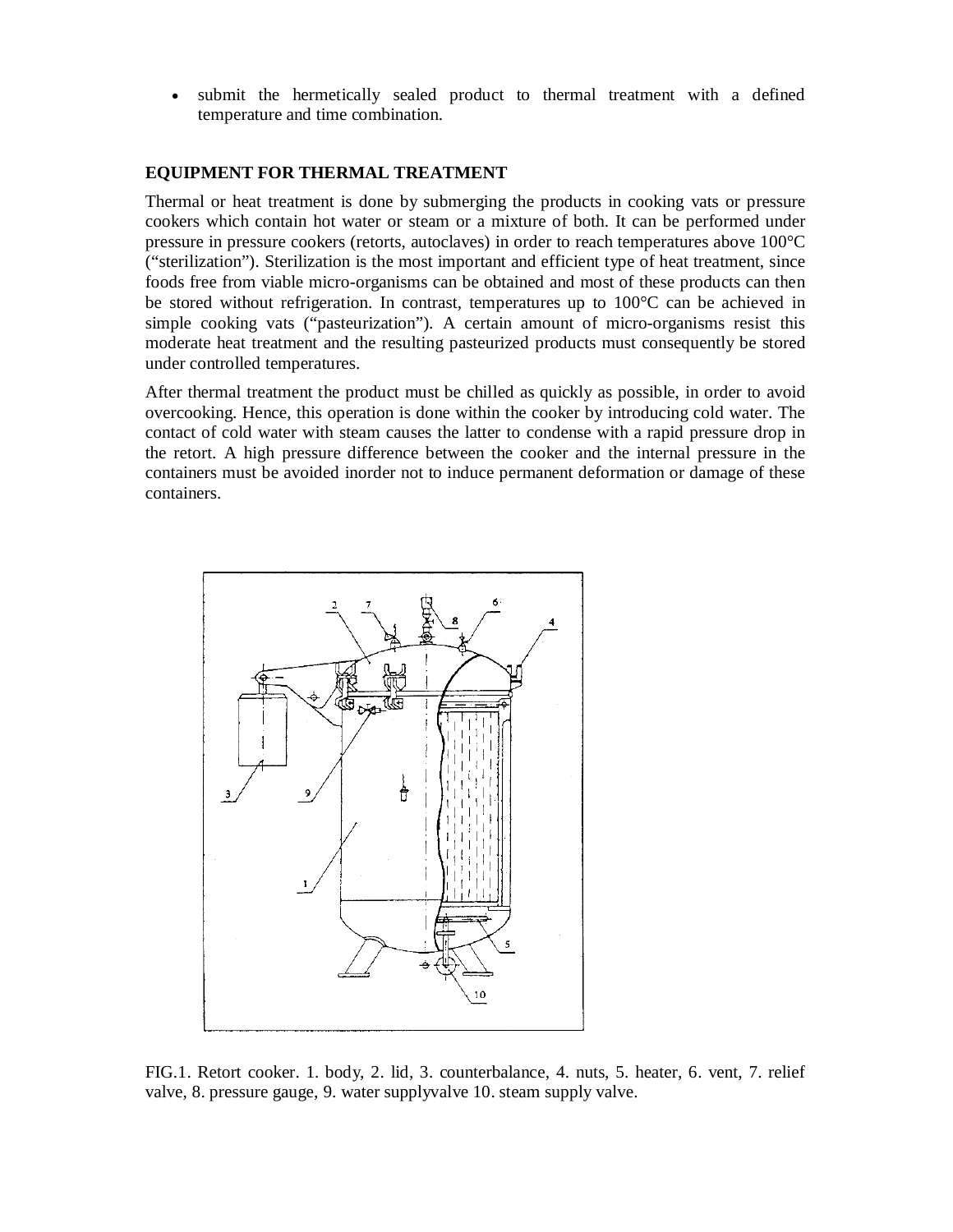submit the hermetically sealed product to thermal treatment with a defined temperature and time combination.

#### **EQUIPMENT FOR THERMAL TREATMENT**

Thermal or heat treatment is done by submerging the products in cooking vats or pressure cookers which contain hot water or steam or a mixture of both. It can be performed under pressure in pressure cookers (retorts, autoclaves) in order to reach temperatures above 100°C ("sterilization"). Sterilization is the most important and efficient type of heat treatment, since foods free from viable micro-organisms can be obtained and most of these products can then be stored without refrigeration. In contrast, temperatures up to 100°C can be achieved in simple cooking vats ("pasteurization"). A certain amount of micro-organisms resist this moderate heat treatment and the resulting pasteurized products must consequently be stored under controlled temperatures.

After thermal treatment the product must be chilled as quickly as possible, in order to avoid overcooking. Hence, this operation is done within the cooker by introducing cold water. The contact of cold water with steam causes the latter to condense with a rapid pressure drop in the retort. A high pressure difference between the cooker and the internal pressure in the containers must be avoided inorder not to induce permanent deformation or damage of these containers.



FIG.1. Retort cooker. 1. body, 2. lid, 3. counterbalance, 4. nuts, 5. heater, 6. vent, 7. relief valve, 8. pressure gauge, 9. water supplyvalve 10. steam supply valve.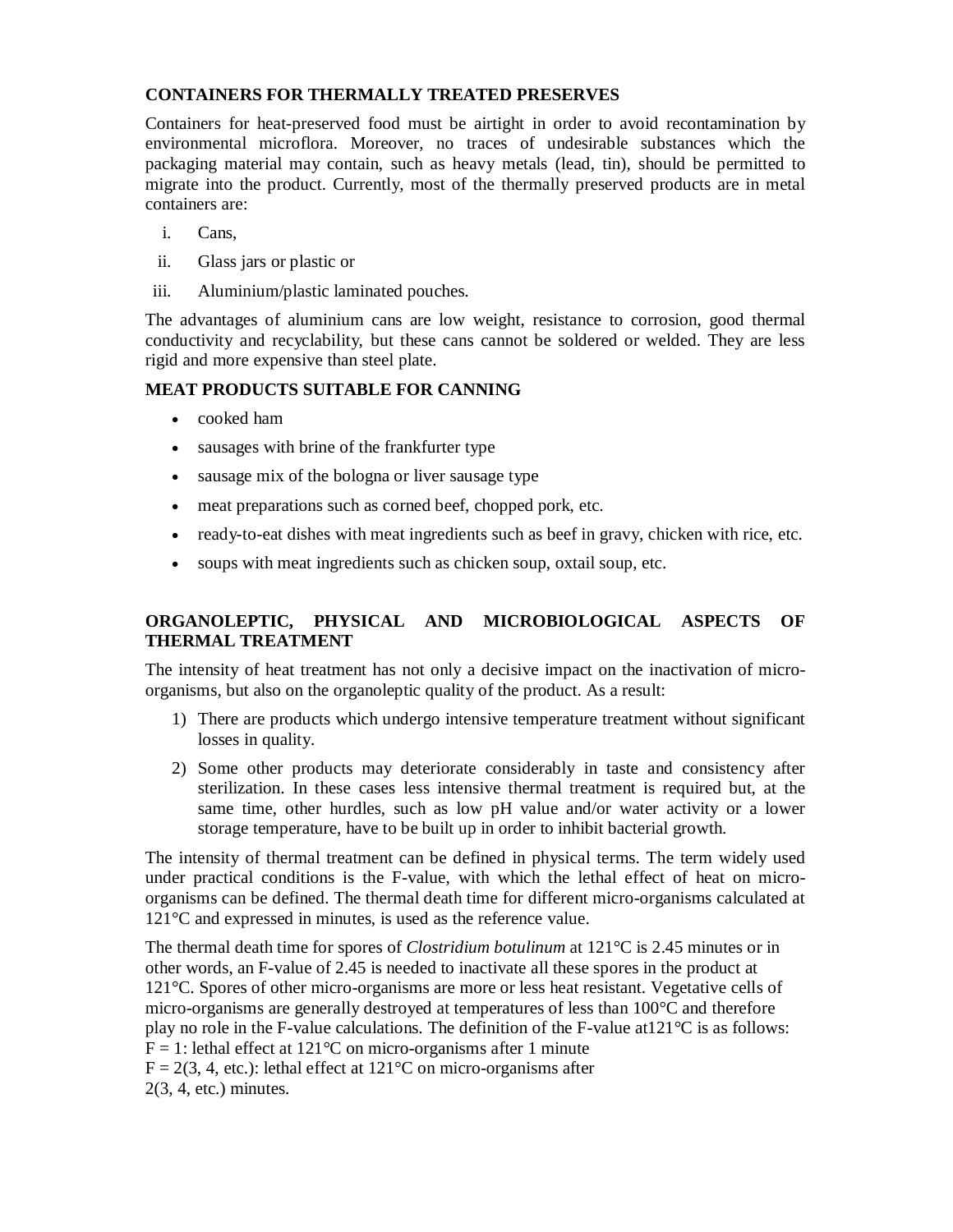# **CONTAINERS FOR THERMALLY TREATED PRESERVES**

Containers for heat-preserved food must be airtight in order to avoid recontamination by environmental microflora. Moreover, no traces of undesirable substances which the packaging material may contain, such as heavy metals (lead, tin), should be permitted to migrate into the product. Currently, most of the thermally preserved products are in metal containers are:

- i. Cans,
- ii. Glass jars or plastic or
- iii. Aluminium/plastic laminated pouches.

The advantages of aluminium cans are low weight, resistance to corrosion, good thermal conductivity and recyclability, but these cans cannot be soldered or welded. They are less rigid and more expensive than steel plate.

# **MEAT PRODUCTS SUITABLE FOR CANNING**

- cooked ham
- sausages with brine of the frankfurter type
- sausage mix of the bologna or liver sausage type
- meat preparations such as corned beef, chopped pork, etc.
- ready-to-eat dishes with meat ingredients such as beef in gravy, chicken with rice, etc.
- soups with meat ingredients such as chicken soup, oxtail soup, etc.

# **ORGANOLEPTIC, PHYSICAL AND MICROBIOLOGICAL ASPECTS OF THERMAL TREATMENT**

The intensity of heat treatment has not only a decisive impact on the inactivation of microorganisms, but also on the organoleptic quality of the product. As a result:

- 1) There are products which undergo intensive temperature treatment without significant losses in quality.
- 2) Some other products may deteriorate considerably in taste and consistency after sterilization. In these cases less intensive thermal treatment is required but, at the same time, other hurdles, such as low pH value and/or water activity or a lower storage temperature, have to be built up in order to inhibit bacterial growth.

The intensity of thermal treatment can be defined in physical terms. The term widely used under practical conditions is the F-value, with which the lethal effect of heat on microorganisms can be defined. The thermal death time for different micro-organisms calculated at 121°C and expressed in minutes, is used as the reference value.

The thermal death time for spores of *Clostridium botulinum* at 121°C is 2.45 minutes or in other words, an F-value of 2.45 is needed to inactivate all these spores in the product at 121°C. Spores of other micro-organisms are more or less heat resistant. Vegetative cells of micro-organisms are generally destroyed at temperatures of less than 100°C and therefore play no role in the F-value calculations. The definition of the F-value at121°C is as follows:  $F = 1$ : lethal effect at 121 °C on micro-organisms after 1 minute  $F = 2(3, 4, etc.)$ : lethal effect at 121<sup>o</sup>C on micro-organisms after 2(3, 4, etc.) minutes.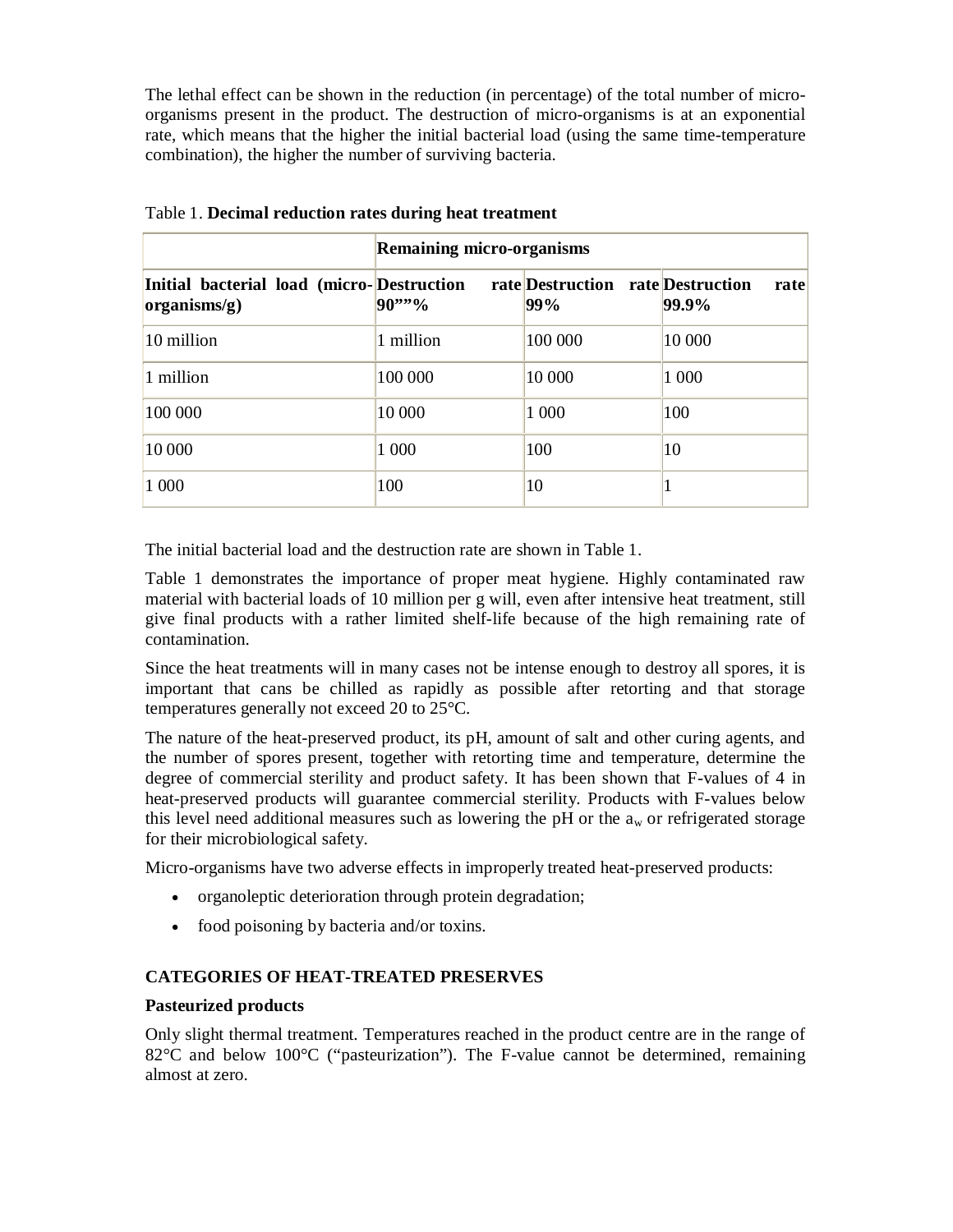The lethal effect can be shown in the reduction (in percentage) of the total number of microorganisms present in the product. The destruction of micro-organisms is at an exponential rate, which means that the higher the initial bacterial load (using the same time-temperature combination), the higher the number of surviving bacteria.

|                                                                    | <b>Remaining micro-organisms</b> |                                          |               |
|--------------------------------------------------------------------|----------------------------------|------------------------------------------|---------------|
| Initial bacterial load (micro-Destruction<br>$ organisms/g\rangle$ | 90''''                           | rate Destruction rate Destruction<br>99% | rate<br>99.9% |
| 10 million                                                         | 1 million                        | 100 000                                  | 10 000        |
| 1 million                                                          | 100 000                          | 10 000                                   | 1 000         |
| 100 000                                                            | 10 000                           | 1 000                                    | 100           |
| 10 000                                                             | 1 000                            | 100                                      | 10            |
| 1 000                                                              | 100                              | 10                                       |               |

Table 1. **Decimal reduction rates during heat treatment**

The initial bacterial load and the destruction rate are shown in Table 1.

Table 1 demonstrates the importance of proper meat hygiene. Highly contaminated raw material with bacterial loads of 10 million per g will, even after intensive heat treatment, still give final products with a rather limited shelf-life because of the high remaining rate of contamination.

Since the heat treatments will in many cases not be intense enough to destroy all spores, it is important that cans be chilled as rapidly as possible after retorting and that storage temperatures generally not exceed 20 to 25°C.

The nature of the heat-preserved product, its pH, amount of salt and other curing agents, and the number of spores present, together with retorting time and temperature, determine the degree of commercial sterility and product safety. It has been shown that F-values of 4 in heat-preserved products will guarantee commercial sterility. Products with F-values below this level need additional measures such as lowering the pH or the  $a_w$  or refrigerated storage for their microbiological safety.

Micro-organisms have two adverse effects in improperly treated heat-preserved products:

- organoleptic deterioration through protein degradation;
- food poisoning by bacteria and/or toxins.

#### **CATEGORIES OF HEAT-TREATED PRESERVES**

#### **Pasteurized products**

Only slight thermal treatment. Temperatures reached in the product centre are in the range of  $82^{\circ}$ C and below  $100^{\circ}$ C ("pasteurization"). The F-value cannot be determined, remaining almost at zero.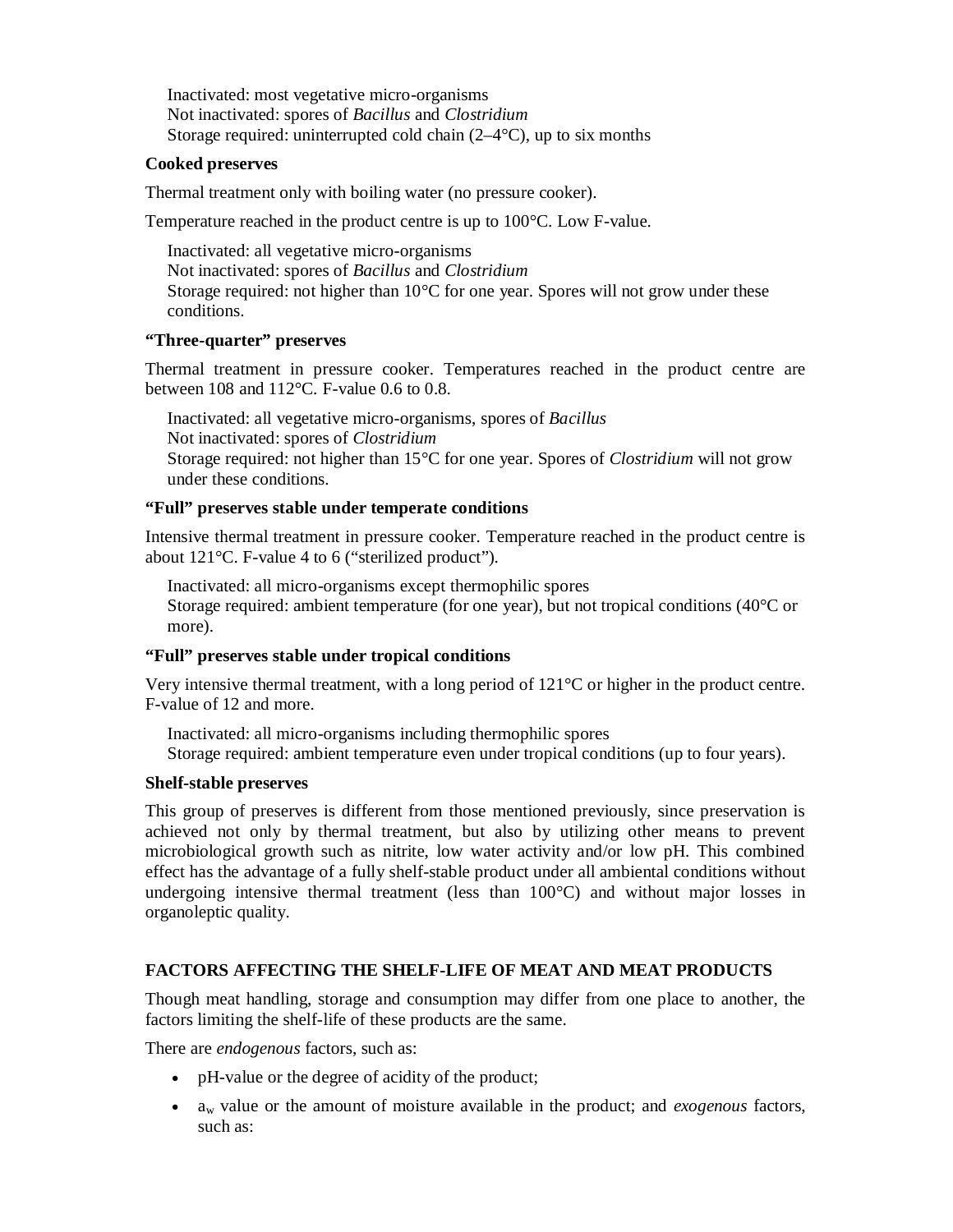Inactivated: most vegetative micro-organisms Not inactivated: spores of *Bacillus* and *Clostridium* Storage required: uninterrupted cold chain  $(2-4\degree C)$ , up to six months

#### **Cooked preserves**

Thermal treatment only with boiling water (no pressure cooker).

Temperature reached in the product centre is up to 100°C. Low F-value.

Inactivated: all vegetative micro-organisms Not inactivated: spores of *Bacillus* and *Clostridium* Storage required: not higher than  $10^{\circ}$ C for one year. Spores will not grow under these conditions.

#### **"Three-quarter" preserves**

Thermal treatment in pressure cooker. Temperatures reached in the product centre are between 108 and 112°C. F-value 0.6 to 0.8.

Inactivated: all vegetative micro-organisms, spores of *Bacillus* Not inactivated: spores of *Clostridium* Storage required: not higher than 15°C for one year. Spores of *Clostridium* will not grow under these conditions.

#### **"Full" preserves stable under temperate conditions**

Intensive thermal treatment in pressure cooker. Temperature reached in the product centre is about 121°C. F-value 4 to 6 ("sterilized product").

Inactivated: all micro-organisms except thermophilic spores Storage required: ambient temperature (for one year), but not tropical conditions (40°C or more).

#### **"Full" preserves stable under tropical conditions**

Very intensive thermal treatment, with a long period of 121°C or higher in the product centre. F-value of 12 and more.

Inactivated: all micro-organisms including thermophilic spores Storage required: ambient temperature even under tropical conditions (up to four years).

#### **Shelf-stable preserves**

This group of preserves is different from those mentioned previously, since preservation is achieved not only by thermal treatment, but also by utilizing other means to prevent microbiological growth such as nitrite, low water activity and/or low pH. This combined effect has the advantage of a fully shelf-stable product under all ambiental conditions without undergoing intensive thermal treatment (less than  $100^{\circ}$ C) and without major losses in organoleptic quality.

# **FACTORS AFFECTING THE SHELF-LIFE OF MEAT AND MEAT PRODUCTS**

Though meat handling, storage and consumption may differ from one place to another, the factors limiting the shelf-life of these products are the same.

There are *endogenous* factors, such as:

- pH-value or the degree of acidity of the product;
- $\bullet$  a<sub>w</sub> value or the amount of moisture available in the product; and *exogenous* factors, such as: